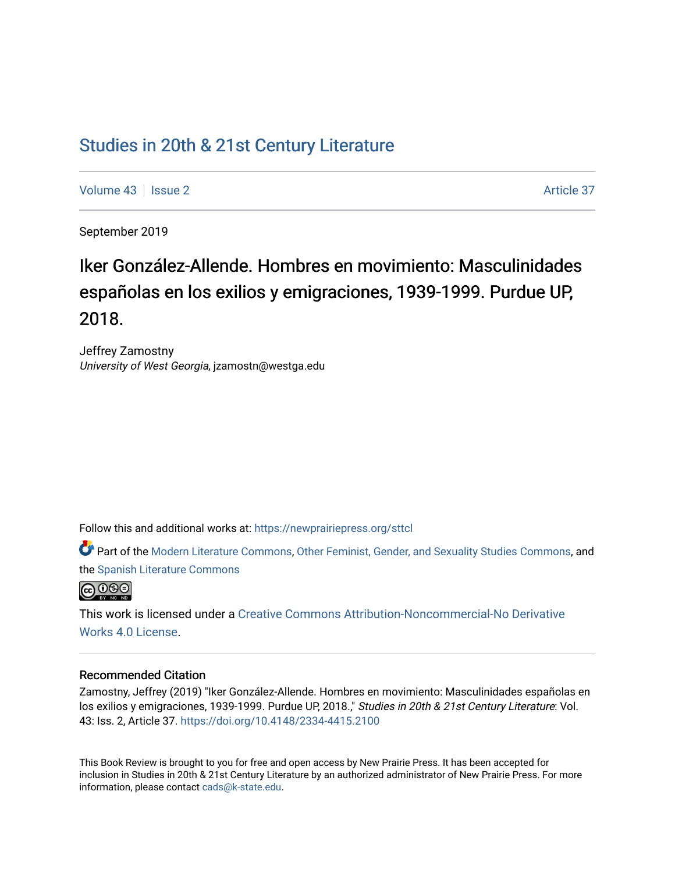## [Studies in 20th & 21st Century Literature](https://newprairiepress.org/sttcl)

[Volume 43](https://newprairiepress.org/sttcl/vol43) | [Issue 2](https://newprairiepress.org/sttcl/vol43/iss2) Article 37

September 2019

# Iker González-Allende. Hombres en movimiento: Masculinidades españolas en los exilios y emigraciones, 1939-1999. Purdue UP, 2018.

Jeffrey Zamostny University of West Georgia, jzamostn@westga.edu

Follow this and additional works at: [https://newprairiepress.org/sttcl](https://newprairiepress.org/sttcl?utm_source=newprairiepress.org%2Fsttcl%2Fvol43%2Fiss2%2F37&utm_medium=PDF&utm_campaign=PDFCoverPages) 

Part of the [Modern Literature Commons,](http://network.bepress.com/hgg/discipline/1050?utm_source=newprairiepress.org%2Fsttcl%2Fvol43%2Fiss2%2F37&utm_medium=PDF&utm_campaign=PDFCoverPages) [Other Feminist, Gender, and Sexuality Studies Commons](http://network.bepress.com/hgg/discipline/562?utm_source=newprairiepress.org%2Fsttcl%2Fvol43%2Fiss2%2F37&utm_medium=PDF&utm_campaign=PDFCoverPages), and the [Spanish Literature Commons](http://network.bepress.com/hgg/discipline/550?utm_source=newprairiepress.org%2Fsttcl%2Fvol43%2Fiss2%2F37&utm_medium=PDF&utm_campaign=PDFCoverPages) 



This work is licensed under a [Creative Commons Attribution-Noncommercial-No Derivative](https://creativecommons.org/licenses/by-nc-nd/4.0/)  [Works 4.0 License](https://creativecommons.org/licenses/by-nc-nd/4.0/).

#### Recommended Citation

Zamostny, Jeffrey (2019) "Iker González-Allende. Hombres en movimiento: Masculinidades españolas en los exilios y emigraciones, 1939-1999. Purdue UP, 2018.," Studies in 20th & 21st Century Literature: Vol. 43: Iss. 2, Article 37. <https://doi.org/10.4148/2334-4415.2100>

This Book Review is brought to you for free and open access by New Prairie Press. It has been accepted for inclusion in Studies in 20th & 21st Century Literature by an authorized administrator of New Prairie Press. For more information, please contact [cads@k-state.edu](mailto:cads@k-state.edu).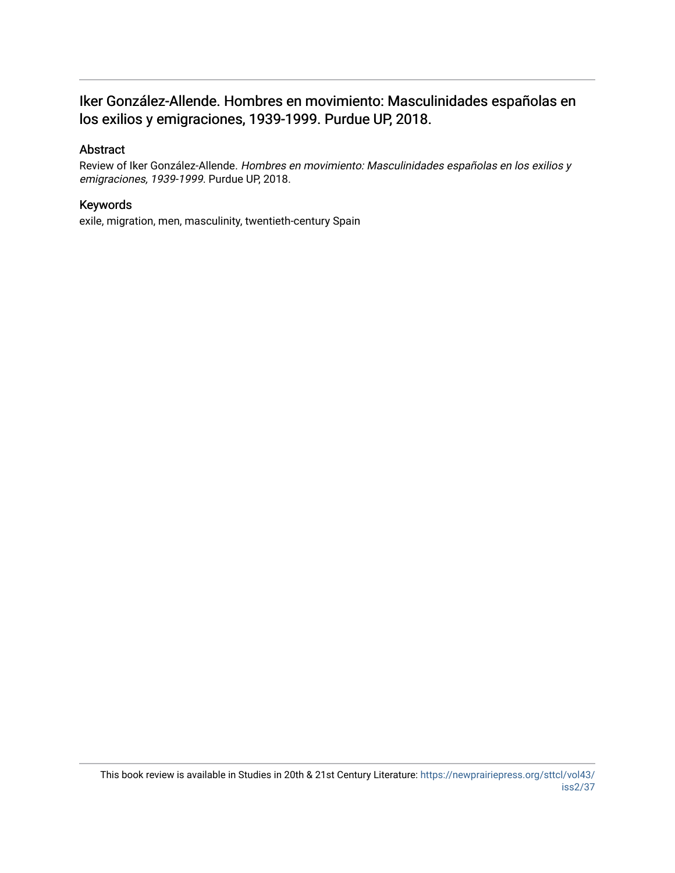### Iker González-Allende. Hombres en movimiento: Masculinidades españolas en los exilios y emigraciones, 1939-1999. Purdue UP, 2018.

### Abstract

Review of Iker González-Allende. Hombres en movimiento: Masculinidades españolas en los exilios y emigraciones, 1939-1999. Purdue UP, 2018.

### Keywords

exile, migration, men, masculinity, twentieth-century Spain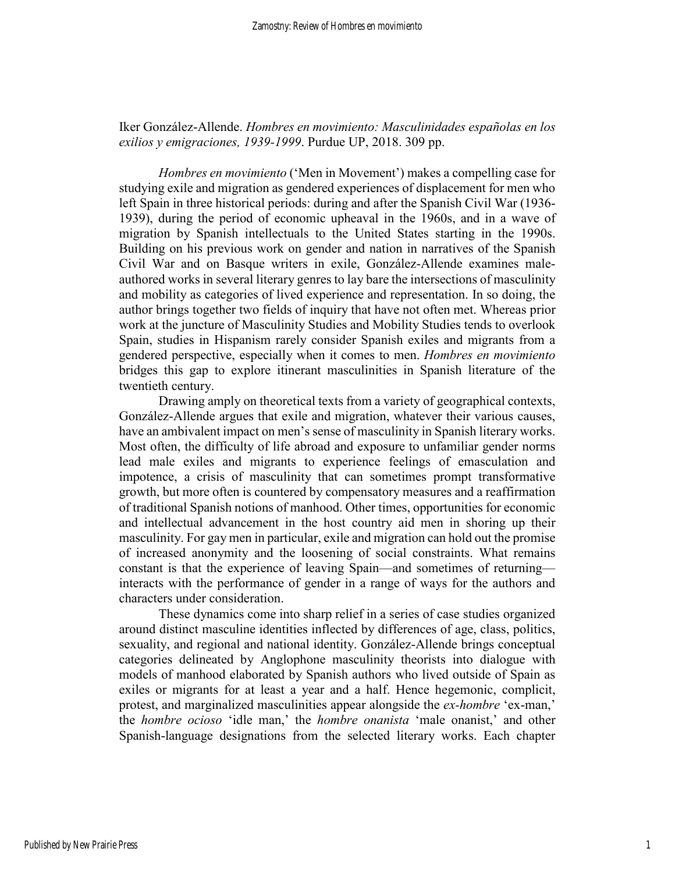### Iker González-Allende. *Hombres en movimiento: Masculinidades españolas en los exilios y emigraciones, 1939-1999*. Purdue UP, 2018. 309 pp.

*Hombres en movimiento* ('Men in Movement') makes a compelling case for studying exile and migration as gendered experiences of displacement for men who left Spain in three historical periods: during and after the Spanish Civil War (1936- 1939), during the period of economic upheaval in the 1960s, and in a wave of migration by Spanish intellectuals to the United States starting in the 1990s. Building on his previous work on gender and nation in narratives of the Spanish Civil War and on Basque writers in exile, González-Allende examines maleauthored works in several literary genres to lay bare the intersections of masculinity and mobility as categories of lived experience and representation. In so doing, the author brings together two fields of inquiry that have not often met. Whereas prior work at the juncture of Masculinity Studies and Mobility Studies tends to overlook Spain, studies in Hispanism rarely consider Spanish exiles and migrants from a gendered perspective, especially when it comes to men. *Hombres en movimiento*  bridges this gap to explore itinerant masculinities in Spanish literature of the twentieth century.

Drawing amply on theoretical texts from a variety of geographical contexts, González-Allende argues that exile and migration, whatever their various causes, have an ambivalent impact on men's sense of masculinity in Spanish literary works. Most often, the difficulty of life abroad and exposure to unfamiliar gender norms lead male exiles and migrants to experience feelings of emasculation and impotence, a crisis of masculinity that can sometimes prompt transformative growth, but more often is countered by compensatory measures and a reaffirmation of traditional Spanish notions of manhood. Other times, opportunities for economic and intellectual advancement in the host country aid men in shoring up their masculinity. For gay men in particular, exile and migration can hold out the promise of increased anonymity and the loosening of social constraints. What remains constant is that the experience of leaving Spain—and sometimes of returning interacts with the performance of gender in a range of ways for the authors and characters under consideration.

These dynamics come into sharp relief in a series of case studies organized around distinct masculine identities inflected by differences of age, class, politics, sexuality, and regional and national identity. González-Allende brings conceptual categories delineated by Anglophone masculinity theorists into dialogue with models of manhood elaborated by Spanish authors who lived outside of Spain as exiles or migrants for at least a year and a half. Hence hegemonic, complicit, protest, and marginalized masculinities appear alongside the *ex-hombre* 'ex-man,' the *hombre ocioso* 'idle man,' the *hombre onanista* 'male onanist,' and other Spanish-language designations from the selected literary works. Each chapter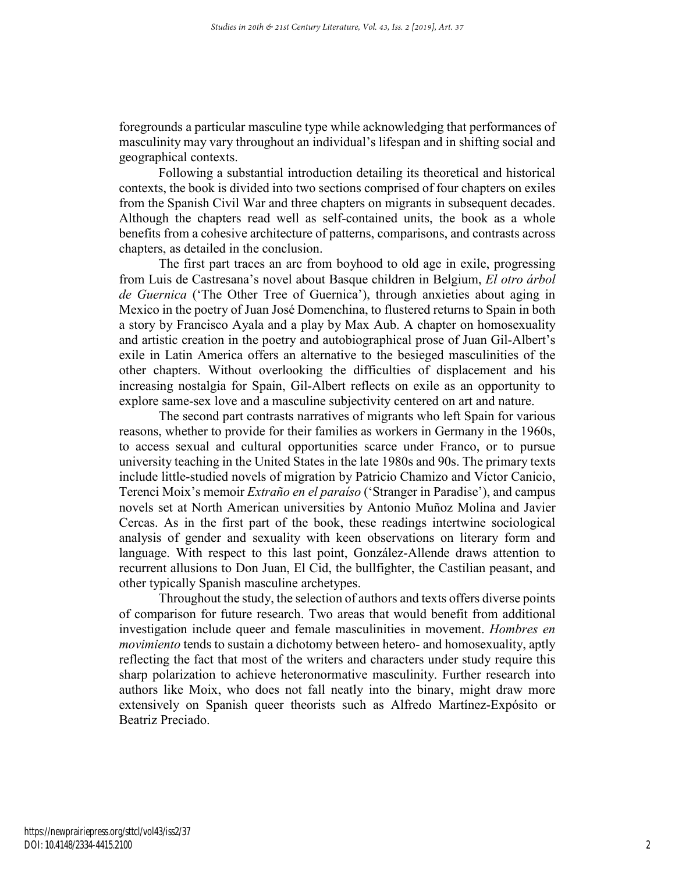foregrounds a particular masculine type while acknowledging that performances of masculinity may vary throughout an individual's lifespan and in shifting social and geographical contexts.

Following a substantial introduction detailing its theoretical and historical contexts, the book is divided into two sections comprised of four chapters on exiles from the Spanish Civil War and three chapters on migrants in subsequent decades. Although the chapters read well as self-contained units, the book as a whole benefits from a cohesive architecture of patterns, comparisons, and contrasts across chapters, as detailed in the conclusion.

The first part traces an arc from boyhood to old age in exile, progressing from Luis de Castresana's novel about Basque children in Belgium, *El otro árbol de Guernica* ('The Other Tree of Guernica'), through anxieties about aging in Mexico in the poetry of Juan José Domenchina, to flustered returns to Spain in both a story by Francisco Ayala and a play by Max Aub. A chapter on homosexuality and artistic creation in the poetry and autobiographical prose of Juan Gil-Albert's exile in Latin America offers an alternative to the besieged masculinities of the other chapters. Without overlooking the difficulties of displacement and his increasing nostalgia for Spain, Gil-Albert reflects on exile as an opportunity to explore same-sex love and a masculine subjectivity centered on art and nature.

The second part contrasts narratives of migrants who left Spain for various reasons, whether to provide for their families as workers in Germany in the 1960s, to access sexual and cultural opportunities scarce under Franco, or to pursue university teaching in the United States in the late 1980s and 90s. The primary texts include little-studied novels of migration by Patricio Chamizo and Víctor Canicio, Terenci Moix's memoir *Extraño en el paraíso* ('Stranger in Paradise'), and campus novels set at North American universities by Antonio Muñoz Molina and Javier Cercas. As in the first part of the book, these readings intertwine sociological analysis of gender and sexuality with keen observations on literary form and language. With respect to this last point, González-Allende draws attention to recurrent allusions to Don Juan, El Cid, the bullfighter, the Castilian peasant, and other typically Spanish masculine archetypes.

 Throughout the study, the selection of authors and texts offers diverse points of comparison for future research. Two areas that would benefit from additional investigation include queer and female masculinities in movement. *Hombres en movimiento* tends to sustain a dichotomy between hetero- and homosexuality, aptly reflecting the fact that most of the writers and characters under study require this sharp polarization to achieve heteronormative masculinity. Further research into authors like Moix, who does not fall neatly into the binary, might draw more extensively on Spanish queer theorists such as Alfredo Martínez-Expósito or Beatriz Preciado.